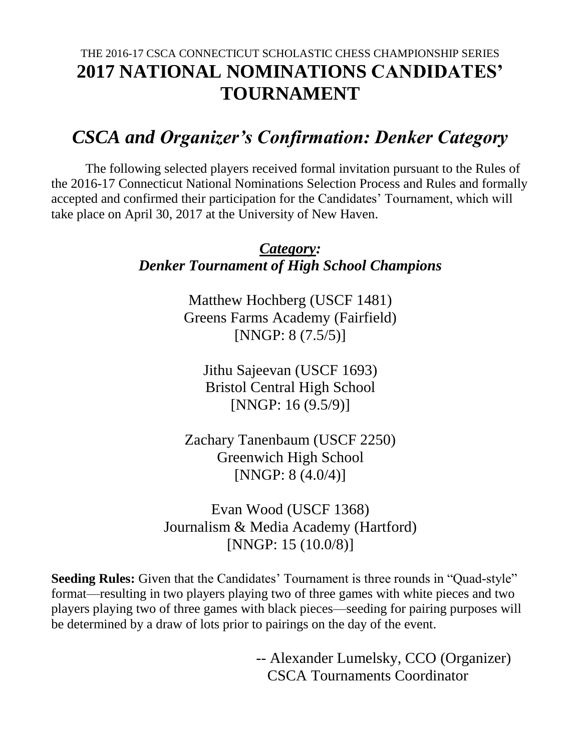## THE 2016-17 CSCA CONNECTICUT SCHOLASTIC CHESS CHAMPIONSHIP SERIES **2017 NATIONAL NOMINATIONS CANDIDATES' TOURNAMENT**

# *CSCA and Organizer's Confirmation: Denker Category*

The following selected players received formal invitation pursuant to the Rules of the 2016-17 Connecticut National Nominations Selection Process and Rules and formally accepted and confirmed their participation for the Candidates' Tournament, which will take place on April 30, 2017 at the University of New Haven.

### *Category: Denker Tournament of High School Champions*

Matthew Hochberg (USCF 1481) Greens Farms Academy (Fairfield) [NNGP: 8 (7.5/5)]

Jithu Sajeevan (USCF 1693) Bristol Central High School [NNGP: 16 (9.5/9)]

Zachary Tanenbaum (USCF 2250) Greenwich High School [NNGP: 8 (4.0/4)]

Evan Wood (USCF 1368) Journalism & Media Academy (Hartford) [NNGP: 15 (10.0/8)]

**Seeding Rules:** Given that the Candidates' Tournament is three rounds in "Quad-style" format—resulting in two players playing two of three games with white pieces and two players playing two of three games with black pieces—seeding for pairing purposes will be determined by a draw of lots prior to pairings on the day of the event.

> -- Alexander Lumelsky, CCO (Organizer) CSCA Tournaments Coordinator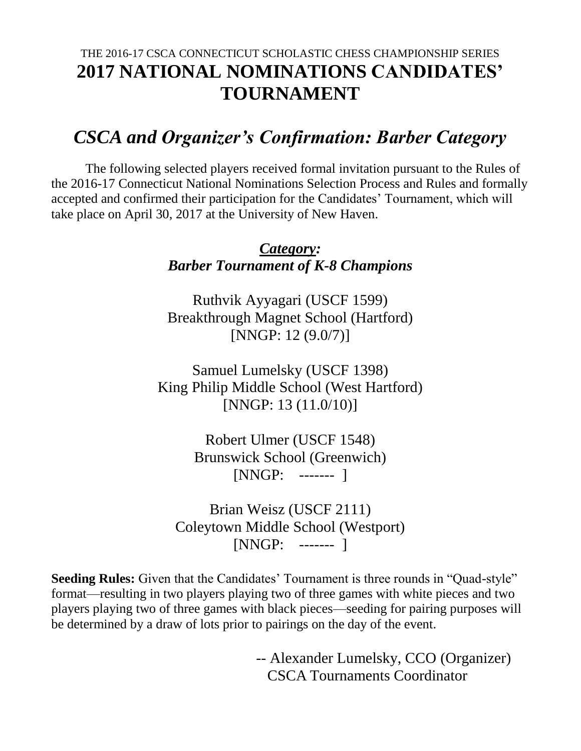## THE 2016-17 CSCA CONNECTICUT SCHOLASTIC CHESS CHAMPIONSHIP SERIES **2017 NATIONAL NOMINATIONS CANDIDATES' TOURNAMENT**

## *CSCA and Organizer's Confirmation: Barber Category*

The following selected players received formal invitation pursuant to the Rules of the 2016-17 Connecticut National Nominations Selection Process and Rules and formally accepted and confirmed their participation for the Candidates' Tournament, which will take place on April 30, 2017 at the University of New Haven.

### *Category: Barber Tournament of K-8 Champions*

Ruthvik Ayyagari (USCF 1599) Breakthrough Magnet School (Hartford) [NNGP: 12 (9.0/7)]

Samuel Lumelsky (USCF 1398) King Philip Middle School (West Hartford) [NNGP: 13 (11.0/10)]

> Robert Ulmer (USCF 1548) Brunswick School (Greenwich) [NNGP: ------- ]

Brian Weisz (USCF 2111) Coleytown Middle School (Westport) [NNGP: ------- ]

**Seeding Rules:** Given that the Candidates' Tournament is three rounds in "Quad-style" format—resulting in two players playing two of three games with white pieces and two players playing two of three games with black pieces—seeding for pairing purposes will be determined by a draw of lots prior to pairings on the day of the event.

> -- Alexander Lumelsky, CCO (Organizer) CSCA Tournaments Coordinator